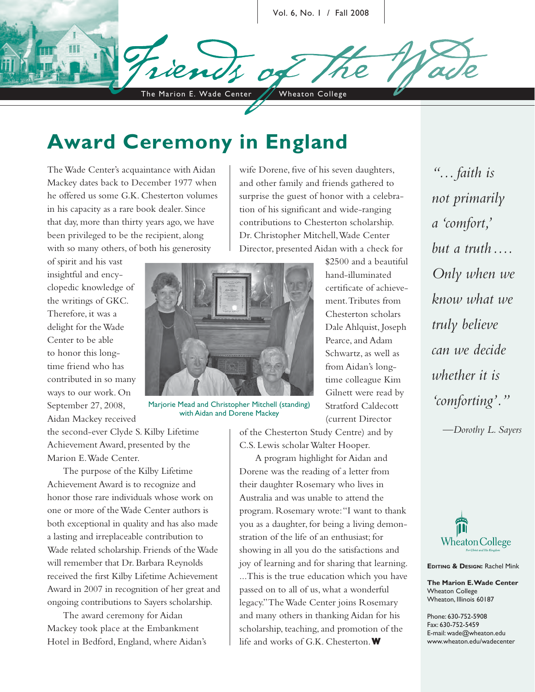Vol. 6, No. 1 / Fall 2008

The Marion E. Wade Center / Wheaton College

# **Award Ceremony in England**

The Wade Center's acquaintance with Aidan Mackey dates back to December 1977 when he offered us some G.K. Chesterton volumes in his capacity as a rare book dealer. Since that day, more than thirty years ago, we have been privileged to be the recipient, along with so many others, of both his generosity

of spirit and his vast insightful and encyclopedic knowledge of the writings of GKC. Therefore, it was a delight for the Wade Center to be able to honor this longtime friend who has contributed in so many ways to our work. On September 27, 2008, Aidan Mackey received



Marjorie Mead and Christopher Mitchell (standing) with Aidan and Dorene Mackey

the second-ever Clyde S. Kilby Lifetime Achievement Award, presented by the Marion E. Wade Center.

The purpose of the Kilby Lifetime Achievement Award is to recognize and honor those rare individuals whose work on one or more of the Wade Center authors is both exceptional in quality and has also made a lasting and irreplaceable contribution to Wade related scholarship. Friends of the Wade will remember that Dr. Barbara Reynolds received the first Kilby Lifetime Achievement Award in 2007 in recognition of her great and ongoing contributions to Sayers scholarship.

The award ceremony for Aidan Mackey took place at the Embankment Hotel in Bedford, England, where Aidan's wife Dorene, five of his seven daughters, and other family and friends gathered to surprise the guest of honor with a celebration of his significant and wide-ranging contributions to Chesterton scholarship. Dr. Christopher Mitchell, Wade Center Director, presented Aidan with a check for

> hand-illuminated certificate of achievement. Tributes from Chesterton scholars Dale Ahlquist, Joseph Pearce, and Adam Schwartz, as well as from Aidan's longtime colleague Kim Gilnett were read by Stratford Caldecott (current Director

\$2500 and a beautiful

of the Chesterton Study Centre) and by C.S. Lewis scholar Walter Hooper.

A program highlight for Aidan and Dorene was the reading of a letter from their daughter Rosemary who lives in Australia and was unable to attend the program. Rosemary wrote: "I want to thank you as a daughter, for being a living demonstration of the life of an enthusiast; for showing in all you do the satisfactions and joy of learning and for sharing that learning. ...This is the true education which you have passed on to all of us, what a wonderful legacy." The Wade Center joins Rosemary and many others in thanking Aidan for his scholarship, teaching, and promotion of the life and works of G.K. Chesterton. **W**

*". . . faith is not primarily a 'comfort,' but a truth . . . . Only when we know what we truly believe can we decide whether it is 'comforting'."*

*—Dorothy L. Sayers*



**EDITING & DESIGN:** Rachel Mink

**The Marion E. Wade Center** Wheaton College Wheaton, Illinois 60187

Phone: 630-752-5908 Fax: 630-752-5459 E-mail: wade@wheaton.edu www.wheaton.edu/wadecenter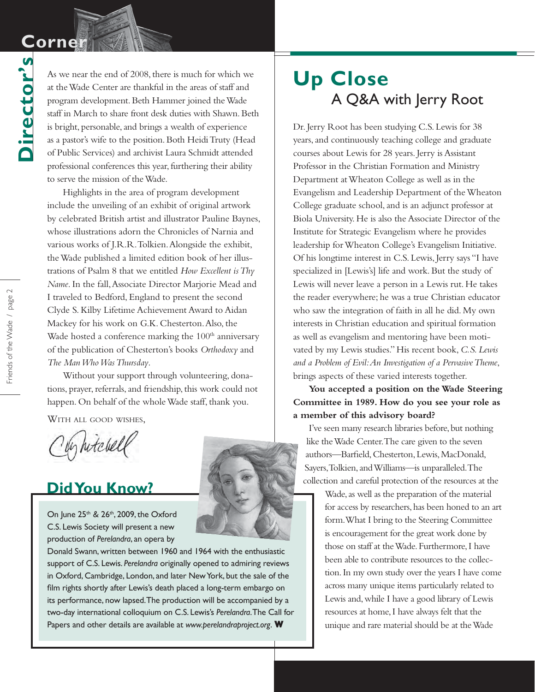# **Corner Corner**

**Director's**

Director's

As we near the end of 2008, there is much for which we at the Wade Center are thankful in the areas of staff and program development. Beth Hammer joined the Wade staff in March to share front desk duties with Shawn. Beth is bright, personable, and brings a wealth of experience as a pastor's wife to the position. Both Heidi Truty (Head of Public Services) and archivist Laura Schmidt attended professional conferences this year, furthering their ability to serve the mission of the Wade.

Highlights in the area of program development include the unveiling of an exhibit of original artwork by celebrated British artist and illustrator Pauline Baynes, whose illustrations adorn the Chronicles of Narnia and various works of J.R.R. Tolkien. Alongside the exhibit, the Wade published a limited edition book of her illustrations of Psalm 8 that we entitled *How Excellent is Thy Name*. In the fall, Associate Director Marjorie Mead and I traveled to Bedford, England to present the second Clyde S. Kilby Lifetime Achievement Award to Aidan Mackey for his work on G.K. Chesterton. Also, the Wade hosted a conference marking the  $100<sup>th</sup>$  anniversary of the publication of Chesterton's books *Orthodoxy* and *The Man Who Was Thursday*.

Without your support through volunteering, donations, prayer, referrals, and friendship, this work could not happen. On behalf of the whole Wade staff, thank you.

WITH ALL GOOD WISHES,

Un hotchel

## **Did You Know?**

On June 25<sup>th</sup> & 26<sup>th</sup>, 2009, the Oxford C.S. Lewis Society will present a new production of *Perelandra*, an opera by



# **Up Close** A Q&A with Jerry Root

Dr. Jerry Root has been studying C.S. Lewis for 38 years, and continuously teaching college and graduate courses about Lewis for 28 years. Jerry is Assistant Professor in the Christian Formation and Ministry Department at Wheaton College as well as in the Evangelism and Leadership Department of the Wheaton College graduate school, and is an adjunct professor at Biola University. He is also the Associate Director of the Institute for Strategic Evangelism where he provides leadership for Wheaton College's Evangelism Initiative. Of his longtime interest in C.S. Lewis, Jerry says "I have specialized in [Lewis's] life and work. But the study of Lewis will never leave a person in a Lewis rut. He takes the reader everywhere; he was a true Christian educator who saw the integration of faith in all he did. My own interests in Christian education and spiritual formation as well as evangelism and mentoring have been motivated by my Lewis studies." His recent book, *C.S. Lewis and a Problem of Evil: An Investigation of a Pervasive Theme*, brings aspects of these varied interests together.

### **You accepted a position on the Wade Steering Committee in 1989. How do you see your role as a member of this advisory board?**

I've seen many research libraries before, but nothing like the Wade Center. The care given to the seven authors—Barfield, Chesterton, Lewis, MacDonald, Sayers, Tolkien, and Williams—is unparalleled. The collection and careful protection of the resources at the

> Wade, as well as the preparation of the material for access by researchers, has been honed to an art form. What I bring to the Steering Committee is encouragement for the great work done by those on staff at the Wade. Furthermore, I have been able to contribute resources to the collection. In my own study over the years I have come across many unique items particularly related to Lewis and, while I have a good library of Lewis resources at home, I have always felt that the unique and rare material should be at the Wade

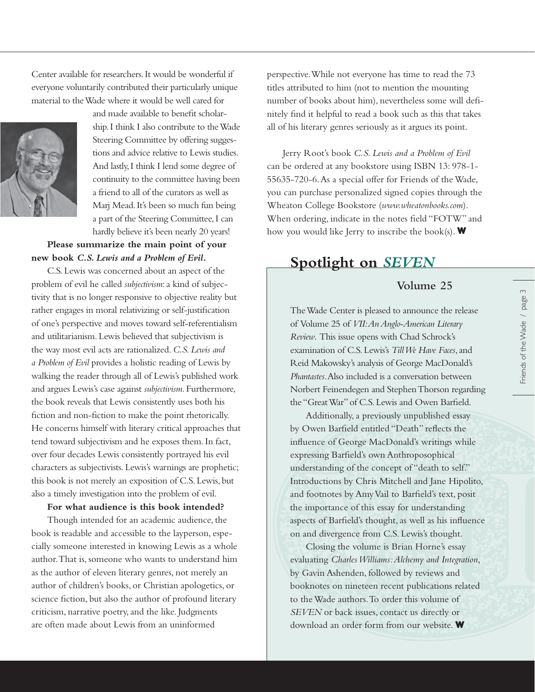Center available for researchers. It would be wonderful if everyone voluntarily contributed their particularly unique material to the Wade where it would be well cared for



ship. I think I also contribute to the Wade Steering Committee by offering suggestions and advice relative to Lewis studies. And lastly, I think I lend some degree of continuity to the committee having been a friend to all of the curators as well as Marj Mead. It's been so much fun being a part of the Steering Committee, I can hardly believe it's been nearly 20 years!

and made available to benefit scholar-

**Please summarize the main point of your new book** *C.S. Lewis and a Problem of Evil***.**

C.S. Lewis was concerned about an aspect of the problem of evil he called *subjectivism*: a kind of subjectivity that is no longer responsive to objective reality but rather engages in moral relativizing or self-justification of one's perspective and moves toward self-referentialism and utilitarianism. Lewis believed that subjectivism is the way most evil acts are rationalized. *C.S. Lewis and a Problem of Evil* provides a holistic reading of Lewis by walking the reader through all of Lewis's published work and argues Lewis's case against *subjectivism*. Furthermore, the book reveals that Lewis consistently uses both his fiction and non-fiction to make the point rhetorically. He concerns himself with literary critical approaches that tend toward subjectivism and he exposes them. In fact, over four decades Lewis consistently portrayed his evil characters as subjectivists. Lewis's warnings are prophetic; this book is not merely an exposition of C.S. Lewis, but also a timely investigation into the problem of evil.

#### **For what audience is this book intended?**

Though intended for an academic audience, the book is readable and accessible to the layperson, especially someone interested in knowing Lewis as a whole author. That is, someone who wants to understand him as the author of eleven literary genres, not merely an author of children's books, or Christian apologetics, or science fiction, but also the author of profound literary criticism, narrative poetry, and the like. Judgments are often made about Lewis from an uninformed

perspective. While not everyone has time to read the 73 titles attributed to him (not to mention the mounting number of books about him), nevertheless some will definitely find it helpful to read a book such as this that takes all of his literary genres seriously as it argues its point.

Jerry Root's book *C.S. Lewis and a Problem of Evil* can be ordered at any bookstore using ISBN 13: 978-1- 55635-720-6. As a special offer for Friends of the Wade, you can purchase personalized signed copies through the Wheaton College Bookstore (*www.wheatonbooks.com*). When ordering, indicate in the notes field "FOTW" and how you would like Jerry to inscribe the book(s). **W**

## **Spotlight on** *SEVEN*

### **Volume 25**

The Wade Center is pleased to announce the release of Volume 25 of *VII: An Anglo-American Literary Review*. This issue opens with Chad Schrock's examination of C.S. Lewis's *Till We Have Faces*, and Reid Makowsky's analysis of George MacDonald's *Phantastes*. Also included is a conversation between Norbert Feinendegen and Stephen Thorson regarding the "Great War" of C.S. Lewis and Owen Barfield.

Additionally, a previously unpublished essay by Owen Barfield entitled "Death" reflects the influence of George MacDonald's writings while expressing Barfield's own Anthroposophical understanding of the concept of "death to self." Introductions by Chris Mitchell and Jane Hipolito, and footnotes by Amy Vail to Barfield's text, posit the importance of this essay for understanding aspects of Barfield's thought, as well as his influence on and divergence from C.S. Lewis's thought.

Closing the volume is Brian Horne's essay evaluating *Charles Williams: Alchemy and Integration*, by Gavin Ashenden, followed by reviews and booknotes on nineteen recent publications related to the Wade authors. To order this volume of *SEVEN* or back issues, contact us directly or download an order form from our website. **W**